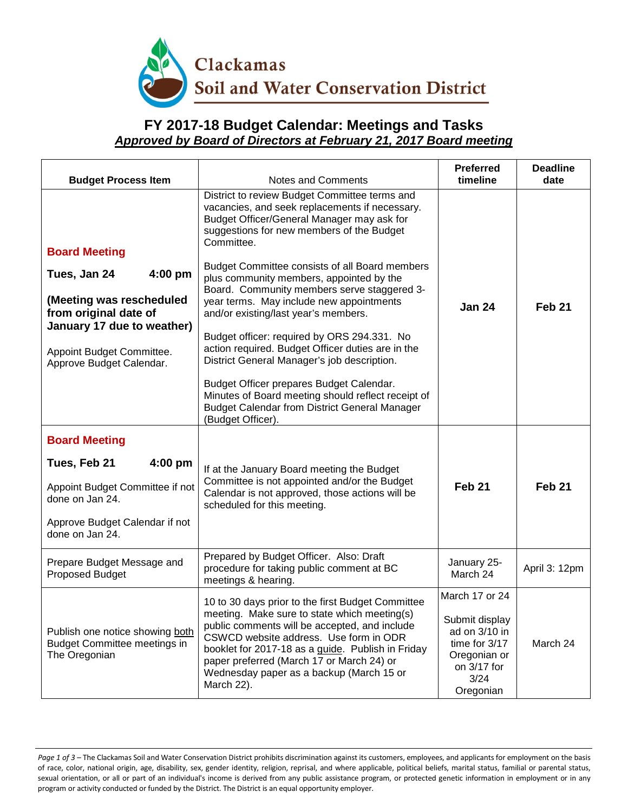

## **FY 2017-18 Budget Calendar: Meetings and Tasks** *Approved by Board of Directors at February 21, 2017 Board meeting*

| <b>Budget Process Item</b>                                                                                                                                                                    | Notes and Comments                                                                                                                                                                                                                                                                                                                                                                                                                                                                                                                                                                                                                                                                                                                                                          | <b>Preferred</b><br>timeline                                                                         | <b>Deadline</b><br>date |
|-----------------------------------------------------------------------------------------------------------------------------------------------------------------------------------------------|-----------------------------------------------------------------------------------------------------------------------------------------------------------------------------------------------------------------------------------------------------------------------------------------------------------------------------------------------------------------------------------------------------------------------------------------------------------------------------------------------------------------------------------------------------------------------------------------------------------------------------------------------------------------------------------------------------------------------------------------------------------------------------|------------------------------------------------------------------------------------------------------|-------------------------|
| <b>Board Meeting</b><br>Tues, Jan 24<br>$4:00$ pm<br>(Meeting was rescheduled<br>from original date of<br>January 17 due to weather)<br>Appoint Budget Committee.<br>Approve Budget Calendar. | District to review Budget Committee terms and<br>vacancies, and seek replacements if necessary.<br>Budget Officer/General Manager may ask for<br>suggestions for new members of the Budget<br>Committee.<br>Budget Committee consists of all Board members<br>plus community members, appointed by the<br>Board. Community members serve staggered 3-<br>year terms. May include new appointments<br>and/or existing/last year's members.<br>Budget officer: required by ORS 294.331. No<br>action required. Budget Officer duties are in the<br>District General Manager's job description.<br>Budget Officer prepares Budget Calendar.<br>Minutes of Board meeting should reflect receipt of<br><b>Budget Calendar from District General Manager</b><br>(Budget Officer). | <b>Jan 24</b>                                                                                        | Feb <sub>21</sub>       |
| <b>Board Meeting</b>                                                                                                                                                                          |                                                                                                                                                                                                                                                                                                                                                                                                                                                                                                                                                                                                                                                                                                                                                                             |                                                                                                      |                         |
| Tues, Feb 21<br>$4:00$ pm                                                                                                                                                                     | If at the January Board meeting the Budget                                                                                                                                                                                                                                                                                                                                                                                                                                                                                                                                                                                                                                                                                                                                  |                                                                                                      |                         |
| Appoint Budget Committee if not<br>done on Jan 24.                                                                                                                                            | Committee is not appointed and/or the Budget<br>Calendar is not approved, those actions will be<br>scheduled for this meeting.                                                                                                                                                                                                                                                                                                                                                                                                                                                                                                                                                                                                                                              | Feb <sub>21</sub>                                                                                    | Feb <sub>21</sub>       |
| Approve Budget Calendar if not<br>done on Jan 24.                                                                                                                                             |                                                                                                                                                                                                                                                                                                                                                                                                                                                                                                                                                                                                                                                                                                                                                                             |                                                                                                      |                         |
| Prepare Budget Message and<br>Proposed Budget                                                                                                                                                 | Prepared by Budget Officer. Also: Draft<br>procedure for taking public comment at BC<br>meetings & hearing.                                                                                                                                                                                                                                                                                                                                                                                                                                                                                                                                                                                                                                                                 | January 25-<br>March 24                                                                              | April 3: 12pm           |
|                                                                                                                                                                                               | 10 to 30 days prior to the first Budget Committee                                                                                                                                                                                                                                                                                                                                                                                                                                                                                                                                                                                                                                                                                                                           | March 17 or 24                                                                                       |                         |
| Publish one notice showing both<br><b>Budget Committee meetings in</b><br>The Oregonian                                                                                                       | meeting. Make sure to state which meeting(s)<br>public comments will be accepted, and include<br>CSWCD website address. Use form in ODR<br>booklet for 2017-18 as a guide. Publish in Friday<br>paper preferred (March 17 or March 24) or<br>Wednesday paper as a backup (March 15 or<br>March 22).                                                                                                                                                                                                                                                                                                                                                                                                                                                                         | Submit display<br>ad on 3/10 in<br>time for 3/17<br>Oregonian or<br>on 3/17 for<br>3/24<br>Oregonian | March 24                |

Page 1 of 3 – The Clackamas Soil and Water Conservation District prohibits discrimination against its customers, employees, and applicants for employment on the basis of race, color, national origin, age, disability, sex, gender identity, religion, reprisal, and where applicable, political beliefs, marital status, familial or parental status, sexual orientation, or all or part of an individual's income is derived from any public assistance program, or protected genetic information in employment or in any program or activity conducted or funded by the District. The District is an equal opportunity employer.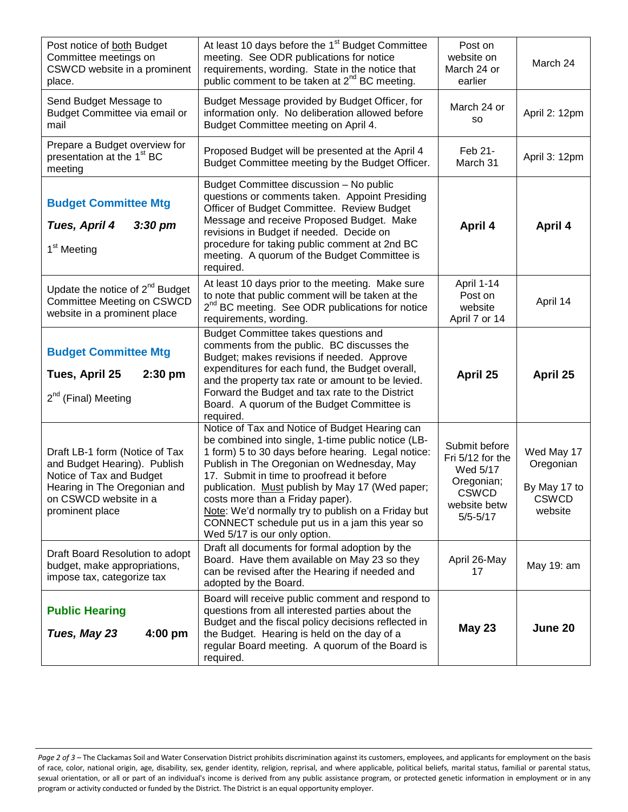| Post notice of both Budget<br>Committee meetings on<br>CSWCD website in a prominent<br>place.                                                                          | At least 10 days before the 1 <sup>st</sup> Budget Committee<br>meeting. See ODR publications for notice<br>requirements, wording. State in the notice that<br>public comment to be taken at 2 <sup>nd</sup> BC meeting.                                                                                                                                                                                                                                                            | Post on<br>website on<br>March 24 or<br>earlier                                                             | March 24                                                           |
|------------------------------------------------------------------------------------------------------------------------------------------------------------------------|-------------------------------------------------------------------------------------------------------------------------------------------------------------------------------------------------------------------------------------------------------------------------------------------------------------------------------------------------------------------------------------------------------------------------------------------------------------------------------------|-------------------------------------------------------------------------------------------------------------|--------------------------------------------------------------------|
| Send Budget Message to<br>Budget Committee via email or<br>mail                                                                                                        | Budget Message provided by Budget Officer, for<br>information only. No deliberation allowed before<br>Budget Committee meeting on April 4.                                                                                                                                                                                                                                                                                                                                          | March 24 or<br>so                                                                                           | April 2: 12pm                                                      |
| Prepare a Budget overview for<br>presentation at the 1 <sup>st</sup> BC<br>meeting                                                                                     | Proposed Budget will be presented at the April 4<br>Budget Committee meeting by the Budget Officer.                                                                                                                                                                                                                                                                                                                                                                                 | Feb 21-<br>March 31                                                                                         | April 3: 12pm                                                      |
| <b>Budget Committee Mtg</b><br>Tues, April 4<br>$3:30$ pm<br>1 <sup>st</sup> Meeting                                                                                   | Budget Committee discussion - No public<br>questions or comments taken. Appoint Presiding<br>Officer of Budget Committee. Review Budget<br>Message and receive Proposed Budget. Make<br>revisions in Budget if needed. Decide on<br>procedure for taking public comment at 2nd BC<br>meeting. A quorum of the Budget Committee is<br>required.                                                                                                                                      | April 4                                                                                                     | April 4                                                            |
| Update the notice of $2^{nd}$ Budget<br>Committee Meeting on CSWCD<br>website in a prominent place                                                                     | At least 10 days prior to the meeting. Make sure<br>to note that public comment will be taken at the<br>2 <sup>nd</sup> BC meeting. See ODR publications for notice<br>requirements, wording.                                                                                                                                                                                                                                                                                       | April 1-14<br>Post on<br>website<br>April 7 or 14                                                           | April 14                                                           |
| <b>Budget Committee Mtg</b><br>Tues, April 25<br>$2:30$ pm<br>2 <sup>nd</sup> (Final) Meeting                                                                          | <b>Budget Committee takes questions and</b><br>comments from the public. BC discusses the<br>Budget; makes revisions if needed. Approve<br>expenditures for each fund, the Budget overall,<br>and the property tax rate or amount to be levied.<br>Forward the Budget and tax rate to the District<br>Board. A quorum of the Budget Committee is<br>required.                                                                                                                       | April 25                                                                                                    | April 25                                                           |
| Draft LB-1 form (Notice of Tax<br>and Budget Hearing). Publish<br>Notice of Tax and Budget<br>Hearing in The Oregonian and<br>on CSWCD website in a<br>prominent place | Notice of Tax and Notice of Budget Hearing can<br>be combined into single, 1-time public notice (LB-<br>1 form) 5 to 30 days before hearing. Legal notice:<br>Publish in The Oregonian on Wednesday, May<br>17. Submit in time to proofread it before<br>publication. Must publish by May 17 (Wed paper;<br>costs more than a Friday paper).<br>Note: We'd normally try to publish on a Friday but<br>CONNECT schedule put us in a jam this year so<br>Wed 5/17 is our only option. | Submit before<br>Fri 5/12 for the<br>Wed 5/17<br>Oregonian;<br><b>CSWCD</b><br>website betw<br>$5/5 - 5/17$ | Wed May 17<br>Oregonian<br>By May 17 to<br><b>CSWCD</b><br>website |
| Draft Board Resolution to adopt<br>budget, make appropriations,<br>impose tax, categorize tax                                                                          | Draft all documents for formal adoption by the<br>Board. Have them available on May 23 so they<br>can be revised after the Hearing if needed and<br>adopted by the Board.                                                                                                                                                                                                                                                                                                           | April 26-May<br>17                                                                                          | May 19: am                                                         |
| <b>Public Hearing</b><br>4:00 pm<br>Tues, May 23                                                                                                                       | Board will receive public comment and respond to<br>questions from all interested parties about the<br>Budget and the fiscal policy decisions reflected in<br>the Budget. Hearing is held on the day of a<br>regular Board meeting. A quorum of the Board is<br>required.                                                                                                                                                                                                           | <b>May 23</b>                                                                                               | June 20                                                            |

Page 2 of 3 – The Clackamas Soil and Water Conservation District prohibits discrimination against its customers, employees, and applicants for employment on the basis of race, color, national origin, age, disability, sex, gender identity, religion, reprisal, and where applicable, political beliefs, marital status, familial or parental status, sexual orientation, or all or part of an individual's income is derived from any public assistance program, or protected genetic information in employment or in any program or activity conducted or funded by the District. The District is an equal opportunity employer.